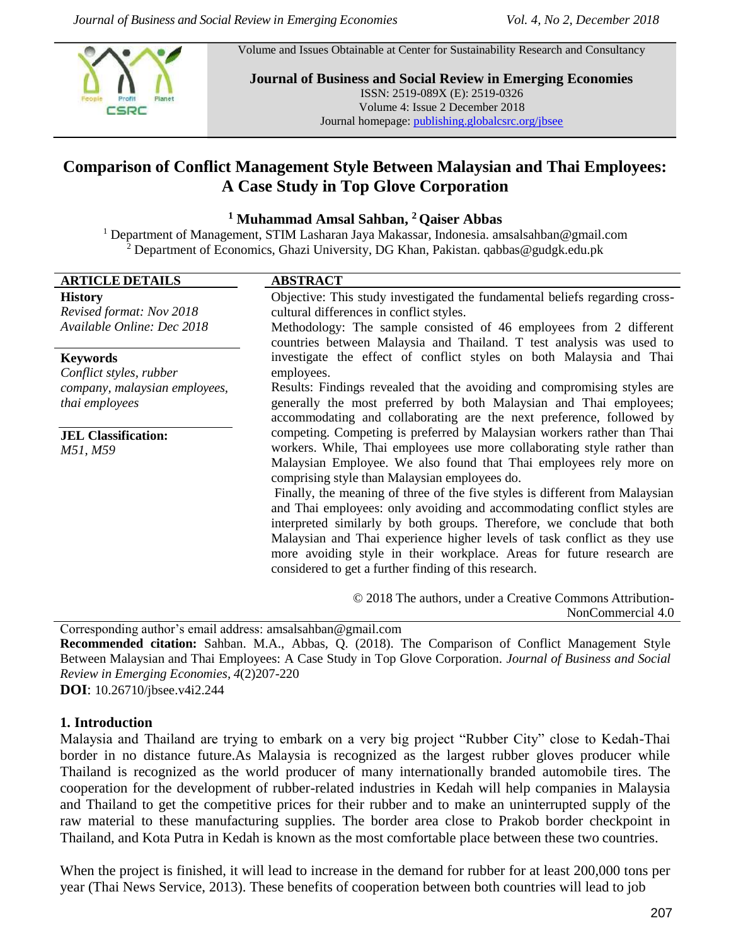Volume and Issues Obtainable at Center for Sustainability Research and Consultancy



**Journal of Business and Social Review in Emerging Economies** ISSN: 2519-089X (E): 2519-0326 Volume 4: Issue 2 December 2018 Journal homepage[: publishing.globalcsrc.org/jbsee](http://www.publishing.globalcsrc.org/jbsee)

# **Comparison of Conflict Management Style Between Malaysian and Thai Employees: A Case Study in Top Glove Corporation**

#### **<sup>1</sup> Muhammad Amsal Sahban, <sup>2</sup> Qaiser Abbas**

<sup>1</sup> Department of Management, STIM Lasharan Jaya Makassar, Indonesia. [amsalsahban@gmail.com](mailto:amsalsahban@gmail.com) <sup>2</sup> Department of Economics, Ghazi University, DG Khan, Pakistan. qabbas@gudgk.edu.pk

#### **ARTICLE DETAILS ABSTRACT**

#### **History**

*Revised format: Nov 2018 Available Online: Dec 2018*

#### **Keywords**

*Conflict styles, rubber company, malaysian employees, thai employees*

**JEL Classification:** *M51, M59*

Objective: This study investigated the fundamental beliefs regarding crosscultural differences in conflict styles.

Methodology: The sample consisted of 46 employees from 2 different countries between Malaysia and Thailand. T test analysis was used to investigate the effect of conflict styles on both Malaysia and Thai employees.

Results: Findings revealed that the avoiding and compromising styles are generally the most preferred by both Malaysian and Thai employees; accommodating and collaborating are the next preference, followed by competing. Competing is preferred by Malaysian workers rather than Thai workers. While, Thai employees use more collaborating style rather than Malaysian Employee. We also found that Thai employees rely more on comprising style than Malaysian employees do.

Finally, the meaning of three of the five styles is different from Malaysian and Thai employees: only avoiding and accommodating conflict styles are interpreted similarly by both groups. Therefore, we conclude that both Malaysian and Thai experience higher levels of task conflict as they use more avoiding style in their workplace. Areas for future research are considered to get a further finding of this research.

> © 2018 The authors, under a Creative Commons Attribution-NonCommercial 4.0

Corresponding author's email address: [amsalsahban@gmail.com](mailto:amsalsahban@gmail.com)

**Recommended citation:** Sahban. M.A., Abbas, Q. (2018). The Comparison of Conflict Management Style Between Malaysian and Thai Employees: A Case Study in Top Glove Corporation. *Journal of Business and Social Review in Emerging Economies, 4*(2)207-220

**DOI**: 10.26710/jbsee.v4i2.244

#### **1. Introduction**

Malaysia and Thailand are trying to embark on a very big project "Rubber City" close to Kedah-Thai border in no distance future.As Malaysia is recognized as the largest rubber gloves producer while Thailand is recognized as the world producer of many internationally branded automobile tires. The cooperation for the development of rubber-related industries in Kedah will help companies in Malaysia and Thailand to get the competitive prices for their rubber and to make an uninterrupted supply of the raw material to these manufacturing supplies. The border area close to Prakob border checkpoint in Thailand, and Kota Putra in Kedah is known as the most comfortable place between these two countries.

When the project is finished, it will lead to increase in the demand for rubber for at least 200,000 tons per year (Thai News Service, 2013). These benefits of cooperation between both countries will lead to job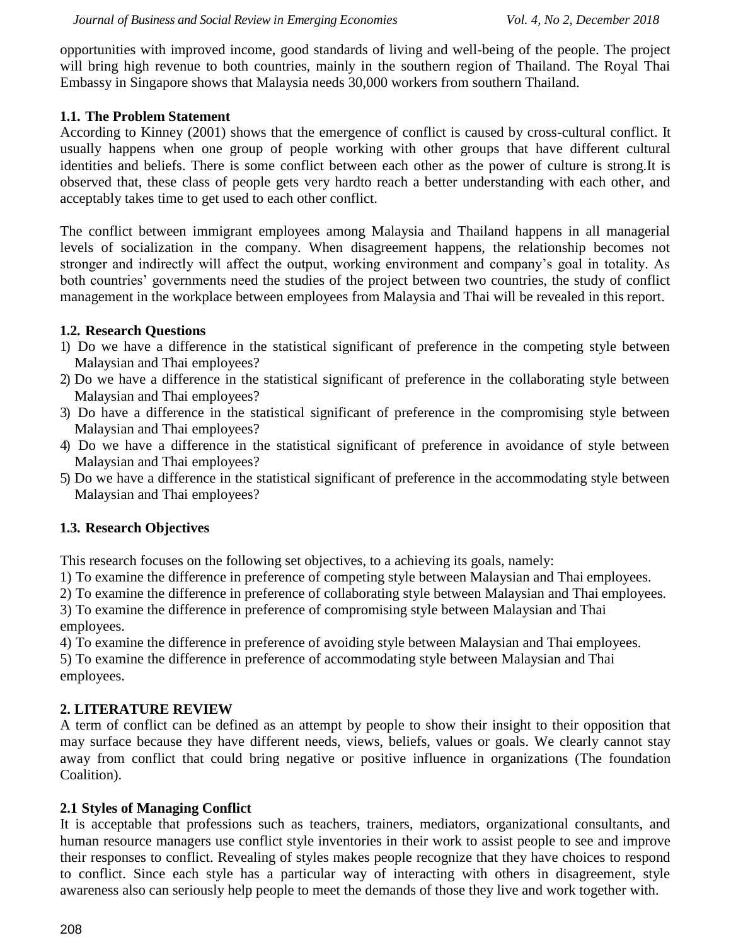opportunities with improved income, good standards of living and well-being of the people. The project will bring high revenue to both countries, mainly in the southern region of Thailand. The Royal Thai Embassy in Singapore shows that Malaysia needs 30,000 workers from southern Thailand.

## **1.1. The Problem Statement**

According to Kinney (2001) shows that the emergence of conflict is caused by cross-cultural conflict. It usually happens when one group of people working with other groups that have different cultural identities and beliefs. There is some conflict between each other as the power of culture is strong.It is observed that, these class of people gets very hardto reach a better understanding with each other, and acceptably takes time to get used to each other conflict.

The conflict between immigrant employees among Malaysia and Thailand happens in all managerial levels of socialization in the company. When disagreement happens, the relationship becomes not stronger and indirectly will affect the output, working environment and company's goal in totality. As both countries' governments need the studies of the project between two countries, the study of conflict management in the workplace between employees from Malaysia and Thai will be revealed in this report.

## **1.2. Research Questions**

- 1) Do we have a difference in the statistical significant of preference in the competing style between Malaysian and Thai employees?
- 2) Do we have a difference in the statistical significant of preference in the collaborating style between Malaysian and Thai employees?
- 3) Do have a difference in the statistical significant of preference in the compromising style between Malaysian and Thai employees?
- 4) Do we have a difference in the statistical significant of preference in avoidance of style between Malaysian and Thai employees?
- 5) Do we have a difference in the statistical significant of preference in the accommodating style between Malaysian and Thai employees?

## **1.3. Research Objectives**

This research focuses on the following set objectives, to a achieving its goals, namely:

1) To examine the difference in preference of competing style between Malaysian and Thai employees.

2) To examine the difference in preference of collaborating style between Malaysian and Thai employees.

3) To examine the difference in preference of compromising style between Malaysian and Thai employees.

4) To examine the difference in preference of avoiding style between Malaysian and Thai employees.

5) To examine the difference in preference of accommodating style between Malaysian and Thai employees.

## **2. LITERATURE REVIEW**

A term of conflict can be defined as an attempt by people to show their insight to their opposition that may surface because they have different needs, views, beliefs, values or goals. We clearly cannot stay away from conflict that could bring negative or positive influence in organizations (The foundation Coalition).

## **2.1 Styles of Managing Conflict**

It is acceptable that professions such as teachers, trainers, mediators, organizational consultants, and human resource managers use conflict style inventories in their work to assist people to see and improve their responses to conflict. Revealing of styles makes people recognize that they have choices to respond to conflict. Since each style has a particular way of interacting with others in disagreement, style awareness also can seriously help people to meet the demands of those they live and work together with.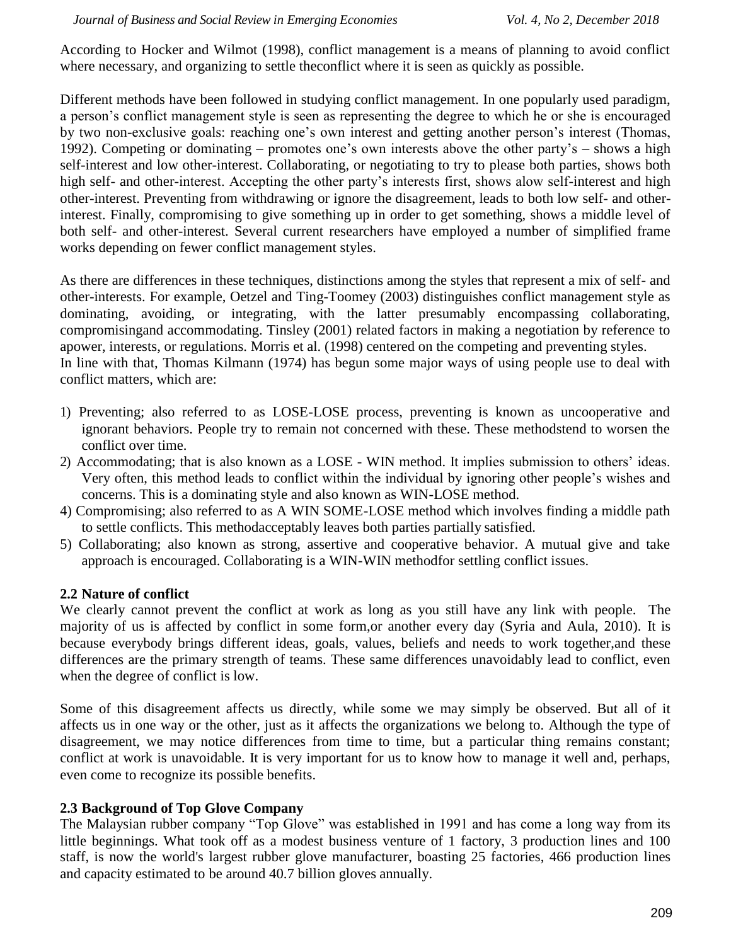According to Hocker and Wilmot (1998), conflict management is a means of planning to avoid conflict where necessary, and organizing to settle the conflict where it is seen as quickly as possible.

Different methods have been followed in studying conflict management. In one popularly used paradigm, a person's conflict management style is seen as representing the degree to which he or she is encouraged by two non-exclusive goals: reaching one's own interest and getting another person's interest (Thomas, 1992). Competing or dominating – promotes one's own interests above the other party's – shows a high self-interest and low other-interest. Collaborating, or negotiating to try to please both parties, shows both high self- and other-interest. Accepting the other party's interests first, shows alow self-interest and high other-interest. Preventing from withdrawing or ignore the disagreement, leads to both low self- and otherinterest. Finally, compromising to give something up in order to get something, shows a middle level of both self- and other-interest. Several current researchers have employed a number of simplified frame works depending on fewer conflict management styles.

As there are differences in these techniques, distinctions among the styles that represent a mix of self- and other-interests. For example, Oetzel and Ting-Toomey (2003) distinguishes conflict management style as dominating, avoiding, or integrating, with the latter presumably encompassing collaborating, compromisingand accommodating. Tinsley (2001) related factors in making a negotiation by reference to apower, interests, or regulations. Morris et al. (1998) centered on the competing and preventing styles. In line with that, Thomas Kilmann (1974) has begun some major ways of using people use to deal with conflict matters, which are:

- 1) Preventing; also referred to as LOSE-LOSE process, preventing is known as uncooperative and ignorant behaviors. People try to remain not concerned with these. These methodstend to worsen the conflict over time.
- 2) Accommodating; that is also known as a LOSE WIN method. It implies submission to others' ideas. Very often, this method leads to conflict within the individual by ignoring other people's wishes and concerns. This is a dominating style and also known as WIN-LOSE method.
- 4) Compromising; also referred to as A WIN SOME-LOSE method which involves finding a middle path to settle conflicts. This methodacceptably leaves both parties partially satisfied.
- 5) Collaborating; also known as strong, assertive and cooperative behavior. A mutual give and take approach is encouraged. Collaborating is a WIN-WIN methodfor settling conflict issues.

#### **2.2 Nature of conflict**

We clearly cannot prevent the conflict at work as long as you still have any link with people. The majority of us is affected by conflict in some form,or another every day (Syria and Aula, 2010). It is because everybody brings different ideas, goals, values, beliefs and needs to work together,and these differences are the primary strength of teams. These same differences unavoidably lead to conflict, even when the degree of conflict is low.

Some of this disagreement affects us directly, while some we may simply be observed. But all of it affects us in one way or the other, just as it affects the organizations we belong to. Although the type of disagreement, we may notice differences from time to time, but a particular thing remains constant; conflict at work is unavoidable. It is very important for us to know how to manage it well and, perhaps, even come to recognize its possible benefits.

## **2.3 Background of Top Glove Company**

The Malaysian rubber company "Top Glove" was established in 1991 and has come a long way from its little beginnings. What took off as a modest business venture of 1 factory, 3 production lines and 100 staff, is now the world's largest rubber glove manufacturer, boasting 25 factories, 466 production lines and capacity estimated to be around 40.7 billion gloves annually.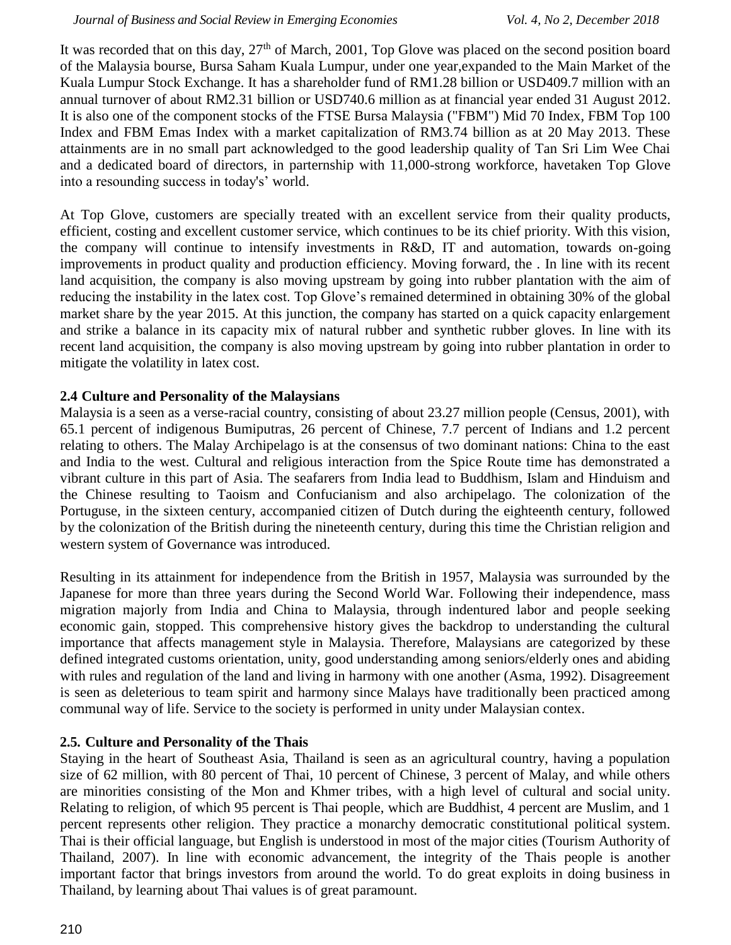It was recorded that on this day,  $27<sup>th</sup>$  of March, 2001, Top Glove was placed on the second position board of the Malaysia bourse, Bursa Saham Kuala Lumpur, under one year,expanded to the Main Market of the Kuala Lumpur Stock Exchange. It has a shareholder fund of RM1.28 billion or USD409.7 million with an annual turnover of about RM2.31 billion or USD740.6 million as at financial year ended 31 August 2012. It is also one of the component stocks of the FTSE Bursa Malaysia ("FBM") Mid 70 Index, FBM Top 100 Index and FBM Emas Index with a market capitalization of RM3.74 billion as at 20 May 2013. These attainments are in no small part acknowledged to the good leadership quality of Tan Sri Lim Wee Chai and a dedicated board of directors, in parternship with 11,000-strong workforce, havetaken Top Glove into a resounding success in today's' world.

At Top Glove, customers are specially treated with an excellent service from their quality products, efficient, costing and excellent customer service, which continues to be its chief priority. With this vision, the company will continue to intensify investments in R&D, IT and automation, towards on-going improvements in product quality and production efficiency. Moving forward, the . In line with its recent land acquisition, the company is also moving upstream by going into rubber plantation with the aim of reducing the instability in the latex cost. Top Glove's remained determined in obtaining 30% of the global market share by the year 2015. At this junction, the company has started on a quick capacity enlargement and strike a balance in its capacity mix of natural rubber and synthetic rubber gloves. In line with its recent land acquisition, the company is also moving upstream by going into rubber plantation in order to mitigate the volatility in latex cost.

## **2.4 Culture and Personality of the Malaysians**

Malaysia is a seen as a verse-racial country, consisting of about 23.27 million people (Census, 2001), with 65.1 percent of indigenous Bumiputras, 26 percent of Chinese, 7.7 percent of Indians and 1.2 percent relating to others. The Malay Archipelago is at the consensus of two dominant nations: China to the east and India to the west. Cultural and religious interaction from the Spice Route time has demonstrated a vibrant culture in this part of Asia. The seafarers from India lead to Buddhism, Islam and Hinduism and the Chinese resulting to Taoism and Confucianism and also archipelago. The colonization of the Portuguse, in the sixteen century, accompanied citizen of Dutch during the eighteenth century, followed by the colonization of the British during the nineteenth century, during this time the Christian religion and western system of Governance was introduced.

Resulting in its attainment for independence from the British in 1957, Malaysia was surrounded by the Japanese for more than three years during the Second World War. Following their independence, mass migration majorly from India and China to Malaysia, through indentured labor and people seeking economic gain, stopped. This comprehensive history gives the backdrop to understanding the cultural importance that affects management style in Malaysia. Therefore, Malaysians are categorized by these defined integrated customs orientation, unity, good understanding among seniors/elderly ones and abiding with rules and regulation of the land and living in harmony with one another (Asma, 1992). Disagreement is seen as deleterious to team spirit and harmony since Malays have traditionally been practiced among communal way of life. Service to the society is performed in unity under Malaysian contex.

## **2.5. Culture and Personality of the Thais**

Staying in the heart of Southeast Asia, Thailand is seen as an agricultural country, having a population size of 62 million, with 80 percent of Thai, 10 percent of Chinese, 3 percent of Malay, and while others are minorities consisting of the Mon and Khmer tribes, with a high level of cultural and social unity. Relating to religion, of which 95 percent is Thai people, which are Buddhist, 4 percent are Muslim, and 1 percent represents other religion. They practice a monarchy democratic constitutional political system. Thai is their official language, but English is understood in most of the major cities (Tourism Authority of Thailand, 2007). In line with economic advancement, the integrity of the Thais people is another important factor that brings investors from around the world. To do great exploits in doing business in Thailand, by learning about Thai values is of great paramount.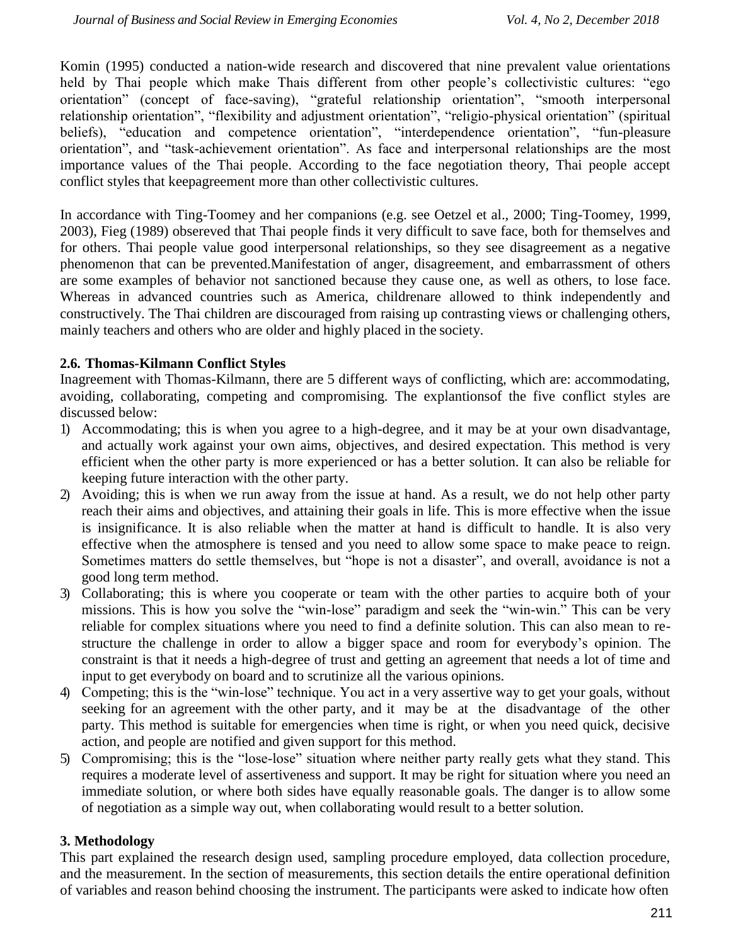Komin (1995) conducted a nation-wide research and discovered that nine prevalent value orientations held by Thai people which make Thais different from other people's collectivistic cultures: "ego orientation" (concept of face-saving), "grateful relationship orientation", "smooth interpersonal relationship orientation", "flexibility and adjustment orientation", "religio-physical orientation" (spiritual beliefs), "education and competence orientation", "interdependence orientation", "fun-pleasure orientation", and "task-achievement orientation". As face and interpersonal relationships are the most importance values of the Thai people. According to the face negotiation theory, Thai people accept conflict styles that keepagreement more than other collectivistic cultures.

In accordance with Ting-Toomey and her companions (e.g. see Oetzel et al., 2000; Ting-Toomey, 1999, 2003), Fieg (1989) obsereved that Thai people finds it very difficult to save face, both for themselves and for others. Thai people value good interpersonal relationships, so they see disagreement as a negative phenomenon that can be prevented.Manifestation of anger, disagreement, and embarrassment of others are some examples of behavior not sanctioned because they cause one, as well as others, to lose face. Whereas in advanced countries such as America, childrenare allowed to think independently and constructively. The Thai children are discouraged from raising up contrasting views or challenging others, mainly teachers and others who are older and highly placed in the society.

## **2.6. Thomas-Kilmann Conflict Styles**

Inagreement with Thomas-Kilmann, there are 5 different ways of conflicting, which are: accommodating, avoiding, collaborating, competing and compromising. The explantionsof the five conflict styles are discussed below:

- 1) Accommodating; this is when you agree to a high-degree, and it may be at your own disadvantage, and actually work against your own aims, objectives, and desired expectation. This method is very efficient when the other party is more experienced or has a better solution. It can also be reliable for keeping future interaction with the other party.
- 2) Avoiding; this is when we run away from the issue at hand. As a result, we do not help other party reach their aims and objectives, and attaining their goals in life. This is more effective when the issue is insignificance. It is also reliable when the matter at hand is difficult to handle. It is also very effective when the atmosphere is tensed and you need to allow some space to make peace to reign. Sometimes matters do settle themselves, but "hope is not a disaster", and overall, avoidance is not a good long term method.
- 3) Collaborating; this is where you cooperate or team with the other parties to acquire both of your missions. This is how you solve the "win-lose" paradigm and seek the "win-win." This can be very reliable for complex situations where you need to find a definite solution. This can also mean to restructure the challenge in order to allow a bigger space and room for everybody's opinion. The constraint is that it needs a high-degree of trust and getting an agreement that needs a lot of time and input to get everybody on board and to scrutinize all the various opinions.
- 4) Competing; this is the "win-lose" technique. You act in a very assertive way to get your goals, without seeking for an agreement with the other party, and it may be at the disadvantage of the other party. This method is suitable for emergencies when time is right, or when you need quick, decisive action, and people are notified and given support for this method.
- 5) Compromising; this is the "lose-lose" situation where neither party really gets what they stand. This requires a moderate level of assertiveness and support. It may be right for situation where you need an immediate solution, or where both sides have equally reasonable goals. The danger is to allow some of negotiation as a simple way out, when collaborating would result to a better solution.

## **3. Methodology**

This part explained the research design used, sampling procedure employed, data collection procedure, and the measurement. In the section of measurements, this section details the entire operational definition of variables and reason behind choosing the instrument. The participants were asked to indicate how often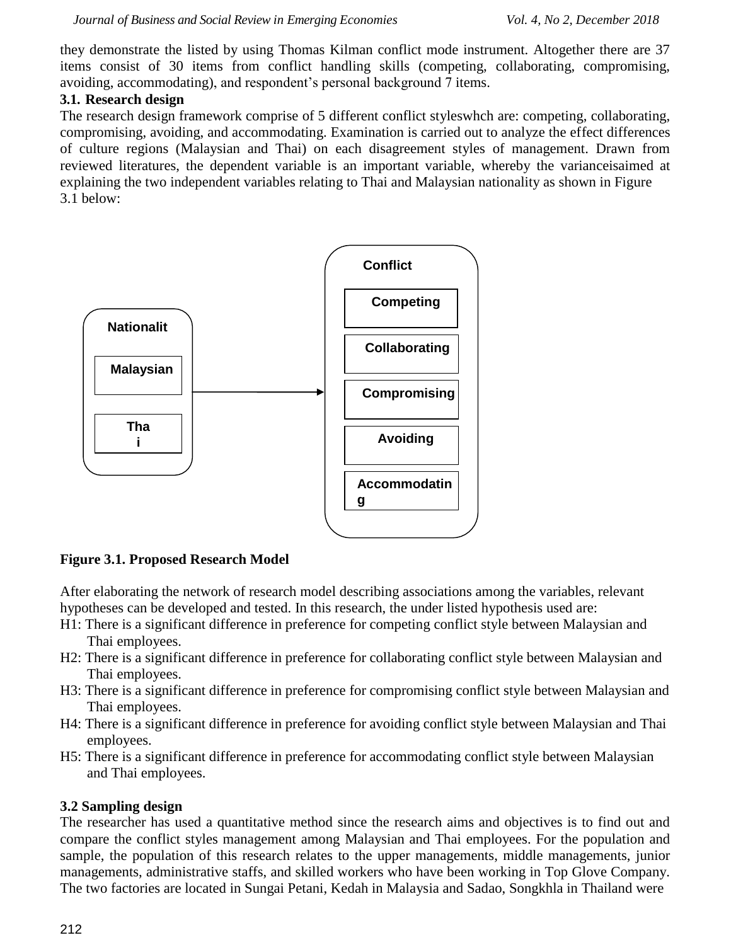they demonstrate the listed by using Thomas Kilman conflict mode instrument. Altogether there are 37 items consist of 30 items from conflict handling skills (competing, collaborating, compromising, avoiding, accommodating), and respondent's personal background 7 items.

## **3.1. Research design**

The research design framework comprise of 5 different conflict styleswhch are: competing, collaborating, compromising, avoiding, and accommodating. Examination is carried out to analyze the effect differences of culture regions (Malaysian and Thai) on each disagreement styles of management. Drawn from reviewed literatures, the dependent variable is an important variable, whereby the varianceisaimed at explaining the two independent variables relating to Thai and Malaysian nationality as shown in Figure 3.1 below:



**Figure 3.1. Proposed Research Model**

After elaborating the network of research model describing associations among the variables, relevant hypotheses can be developed and tested. In this research, the under listed hypothesis used are:

- H1: There is a significant difference in preference for competing conflict style between Malaysian and Thai employees.
- H2: There is a significant difference in preference for collaborating conflict style between Malaysian and Thai employees.
- H3: There is a significant difference in preference for compromising conflict style between Malaysian and Thai employees.
- H4: There is a significant difference in preference for avoiding conflict style between Malaysian and Thai employees.
- H5: There is a significant difference in preference for accommodating conflict style between Malaysian and Thai employees.

## **3.2 Sampling design**

The researcher has used a quantitative method since the research aims and objectives is to find out and compare the conflict styles management among Malaysian and Thai employees. For the population and sample, the population of this research relates to the upper managements, middle managements, junior managements, administrative staffs, and skilled workers who have been working in Top Glove Company. The two factories are located in Sungai Petani, Kedah in Malaysia and Sadao, Songkhla in Thailand were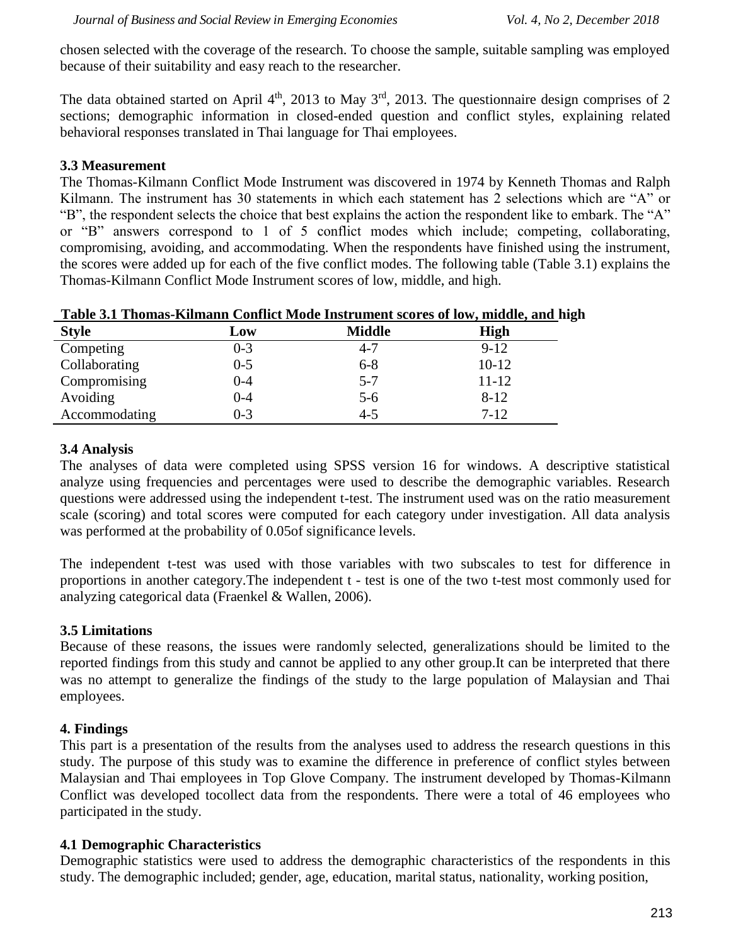chosen selected with the coverage of the research. To choose the sample, suitable sampling was employed because of their suitability and easy reach to the researcher.

The data obtained started on April  $4<sup>th</sup>$ , 2013 to May  $3<sup>rd</sup>$ , 2013. The questionnaire design comprises of 2 sections; demographic information in closed-ended question and conflict styles, explaining related behavioral responses translated in Thai language for Thai employees.

#### **3.3 Measurement**

The Thomas-Kilmann Conflict Mode Instrument was discovered in 1974 by Kenneth Thomas and Ralph Kilmann. The instrument has 30 statements in which each statement has 2 selections which are "A" or "B", the respondent selects the choice that best explains the action the respondent like to embark. The "A" or "B" answers correspond to 1 of 5 conflict modes which include; competing, collaborating, compromising, avoiding, and accommodating. When the respondents have finished using the instrument, the scores were added up for each of the five conflict modes. The following table (Table 3.1) explains the Thomas-Kilmann Conflict Mode Instrument scores of low, middle, and high.

| <b>Style</b>  | Low     | <b>Middle</b> | <b>High</b> |
|---------------|---------|---------------|-------------|
| Competing     | $0 - 3$ | $4 - 7$       | $9-12$      |
| Collaborating | $0 - 5$ | $6 - 8$       | $10-12$     |
| Compromising  | 0-4     | $5 - 7$       | $11 - 12$   |
| Avoiding      | 0-4     | $5 - 6$       | $8 - 12$    |
| Accommodating | $0 - 3$ | $4 - 5$       | $7 - 12$    |

 **Table 3.1 Thomas-Kilmann Conflict Mode Instrument scores of low, middle, and high**

## **3.4 Analysis**

The analyses of data were completed using SPSS version 16 for windows. A descriptive statistical analyze using frequencies and percentages were used to describe the demographic variables. Research questions were addressed using the independent t-test. The instrument used was on the ratio measurement scale (scoring) and total scores were computed for each category under investigation. All data analysis was performed at the probability of 0.05of significance levels.

The independent t-test was used with those variables with two subscales to test for difference in proportions in another category.The independent t - test is one of the two t-test most commonly used for analyzing categorical data (Fraenkel & Wallen, 2006).

## **3.5 Limitations**

Because of these reasons, the issues were randomly selected, generalizations should be limited to the reported findings from this study and cannot be applied to any other group.It can be interpreted that there was no attempt to generalize the findings of the study to the large population of Malaysian and Thai employees.

## **4. Findings**

This part is a presentation of the results from the analyses used to address the research questions in this study. The purpose of this study was to examine the difference in preference of conflict styles between Malaysian and Thai employees in Top Glove Company. The instrument developed by Thomas-Kilmann Conflict was developed tocollect data from the respondents. There were a total of 46 employees who participated in the study.

## **4.1 Demographic Characteristics**

Demographic statistics were used to address the demographic characteristics of the respondents in this study. The demographic included; gender, age, education, marital status, nationality, working position,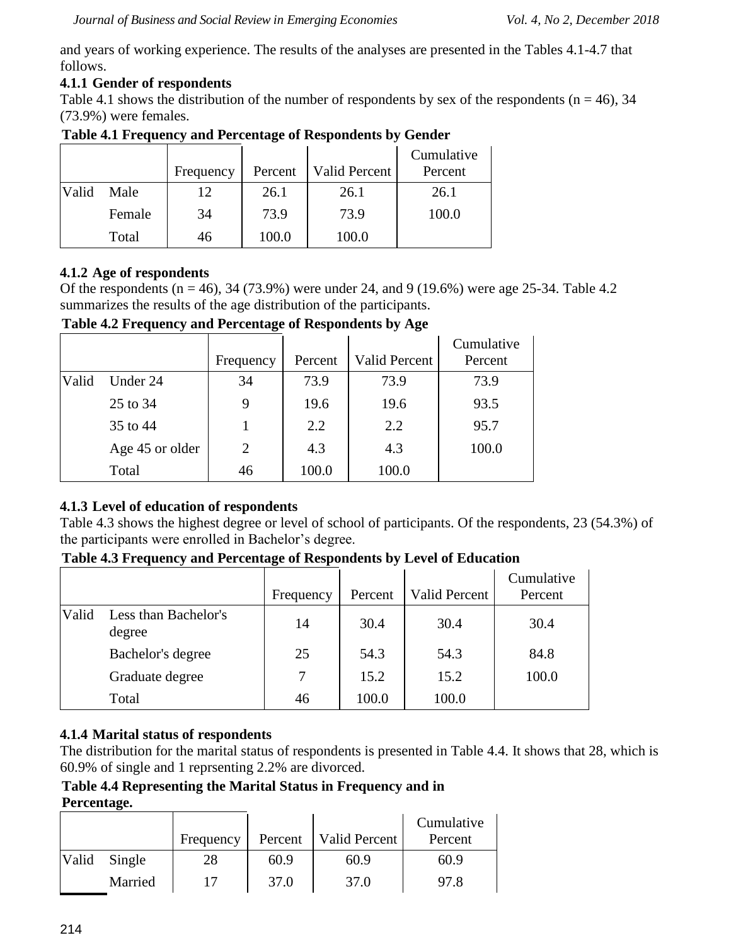and years of working experience. The results of the analyses are presented in the Tables 4.1-4.7 that follows.

## **4.1.1 Gender of respondents**

Table 4.1 shows the distribution of the number of respondents by sex of the respondents ( $n = 46$ ), 34 (73.9%) were females.

|       |        | Frequency | Percent | Valid Percent | Cumulative<br>Percent |
|-------|--------|-----------|---------|---------------|-----------------------|
| Valid | Male   | 12        | 26.1    | 26.1          | 26.1                  |
|       | Female | 34        | 73.9    | 73.9          | 100.0                 |
|       | Total  | 46        | 100.0   | 100.0         |                       |

# **Table 4.1 Frequency and Percentage of Respondents by Gender**

## **4.1.2 Age of respondents**

Of the respondents ( $n = 46$ ), 34 (73.9%) were under 24, and 9 (19.6%) were age 25-34. Table 4.2 summarizes the results of the age distribution of the participants.

**Table 4.2 Frequency and Percentage of Respondents by Age**

|       |                 | Frequency      | Percent | <b>Valid Percent</b> | Cumulative<br>Percent |
|-------|-----------------|----------------|---------|----------------------|-----------------------|
| Valid | Under 24        | 34             | 73.9    | 73.9                 | 73.9                  |
|       | 25 to 34        | 9              | 19.6    | 19.6                 | 93.5                  |
|       | 35 to 44        |                | 2.2     | 2.2                  | 95.7                  |
|       | Age 45 or older | $\overline{2}$ | 4.3     | 4.3                  | 100.0                 |
|       | Total           | 46             | 100.0   | 100.0                |                       |

## **4.1.3 Level of education of respondents**

Table 4.3 shows the highest degree or level of school of participants. Of the respondents, 23 (54.3%) of the participants were enrolled in Bachelor's degree.

**Table 4.3 Frequency and Percentage of Respondents by Level of Education**

|       |                                | Frequency | Percent | <b>Valid Percent</b> | Cumulative<br>Percent |
|-------|--------------------------------|-----------|---------|----------------------|-----------------------|
| Valid | Less than Bachelor's<br>degree | 14        | 30.4    | 30.4                 | 30.4                  |
|       | Bachelor's degree              | 25        | 54.3    | 54.3                 | 84.8                  |
|       | Graduate degree                | 7         | 15.2    | 15.2                 | 100.0                 |
|       | Total                          | 46        | 100.0   | 100.0                |                       |

## **4.1.4 Marital status of respondents**

The distribution for the marital status of respondents is presented in Table 4.4. It shows that 28, which is 60.9% of single and 1 reprsenting 2.2% are divorced.

#### **Table 4.4 Representing the Marital Status in Frequency and in Percentage.**

|              | Frequency | Percent | Valid Percent | Cumulative<br>Percent |
|--------------|-----------|---------|---------------|-----------------------|
| Valid Single | 28        | 60.9    | 60.9          | 60.9                  |
| Married      | 17        | 37.0    | 37.0          | 97.8                  |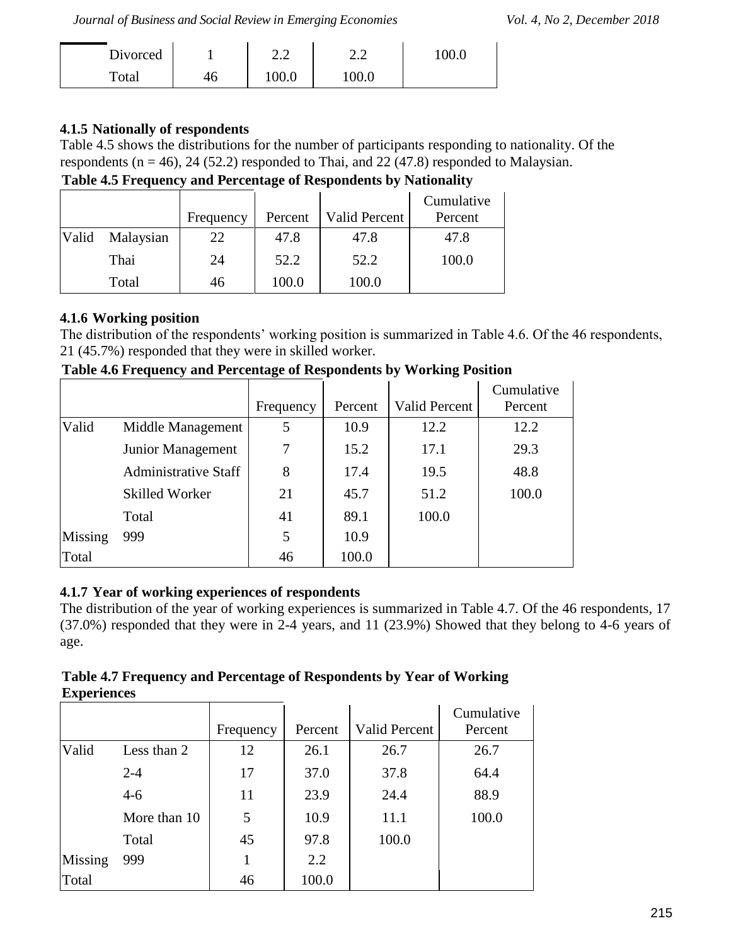*Journal of Business and Social Review in Emerging Economies Vol. 4, No 2, December 2018*

| Divorced |    | $\sim$ $\sim$<br>2.Z | , <u>,</u> | 0.00 |
|----------|----|----------------------|------------|------|
| Total    | 46 | 00.0                 | 0.001      |      |

## **4.1.5 Nationally of respondents**

Table 4.5 shows the distributions for the number of participants responding to nationality. Of the respondents ( $n = 46$ ), 24 (52.2) responded to Thai, and 22 (47.8) responded to Malaysian.

**Table 4.5 Frequency and Percentage of Respondents by Nationality**

|       |           | Frequency | Percent | <b>Valid Percent</b> | Cumulative<br>Percent |
|-------|-----------|-----------|---------|----------------------|-----------------------|
| Valid | Malaysian | 22        | 47.8    | 47.8                 | 47.8                  |
|       | Thai      | 24        | 52.2    | 52.2                 | 100.0                 |
|       | Total     | 46        | 100.0   | 100.0                |                       |

## **4.1.6 Working position**

The distribution of the respondents' working position is summarized in Table 4.6. Of the 46 respondents, 21 (45.7%) responded that they were in skilled worker.

**Table 4.6 Frequency and Percentage of Respondents by Working Position**

|         |                             |           |         |                      | Cumulative |
|---------|-----------------------------|-----------|---------|----------------------|------------|
|         |                             | Frequency | Percent | <b>Valid Percent</b> | Percent    |
| Valid   | Middle Management           | 5         | 10.9    | 12.2                 | 12.2       |
|         | Junior Management           | 7         | 15.2    | 17.1                 | 29.3       |
|         | <b>Administrative Staff</b> | 8         | 17.4    | 19.5                 | 48.8       |
|         | <b>Skilled Worker</b>       | 21        | 45.7    | 51.2                 | 100.0      |
|         | Total                       | 41        | 89.1    | 100.0                |            |
| Missing | 999                         | 5         | 10.9    |                      |            |
| Total   |                             | 46        | 100.0   |                      |            |

## **4.1.7 Year of working experiences of respondents**

The distribution of the year of working experiences is summarized in Table 4.7. Of the 46 respondents, 17 (37.0%) responded that they were in 2-4 years, and 11 (23.9%) Showed that they belong to 4-6 years of age.

| Table 4.7 Frequency and Percentage of Respondents by Year of Working |  |
|----------------------------------------------------------------------|--|
| <b>Experiences</b>                                                   |  |

|         |              | Frequency | Percent | <b>Valid Percent</b> | Cumulative<br>Percent |
|---------|--------------|-----------|---------|----------------------|-----------------------|
| Valid   | Less than 2  | 12        | 26.1    | 26.7                 | 26.7                  |
|         | $2 - 4$      | 17        | 37.0    | 37.8                 | 64.4                  |
|         | $4 - 6$      | 11        | 23.9    | 24.4                 | 88.9                  |
|         | More than 10 | 5         | 10.9    | 11.1                 | 100.0                 |
|         | Total        | 45        | 97.8    | 100.0                |                       |
| Missing | 999          |           | 2.2     |                      |                       |
| Total   |              | 46        | 100.0   |                      |                       |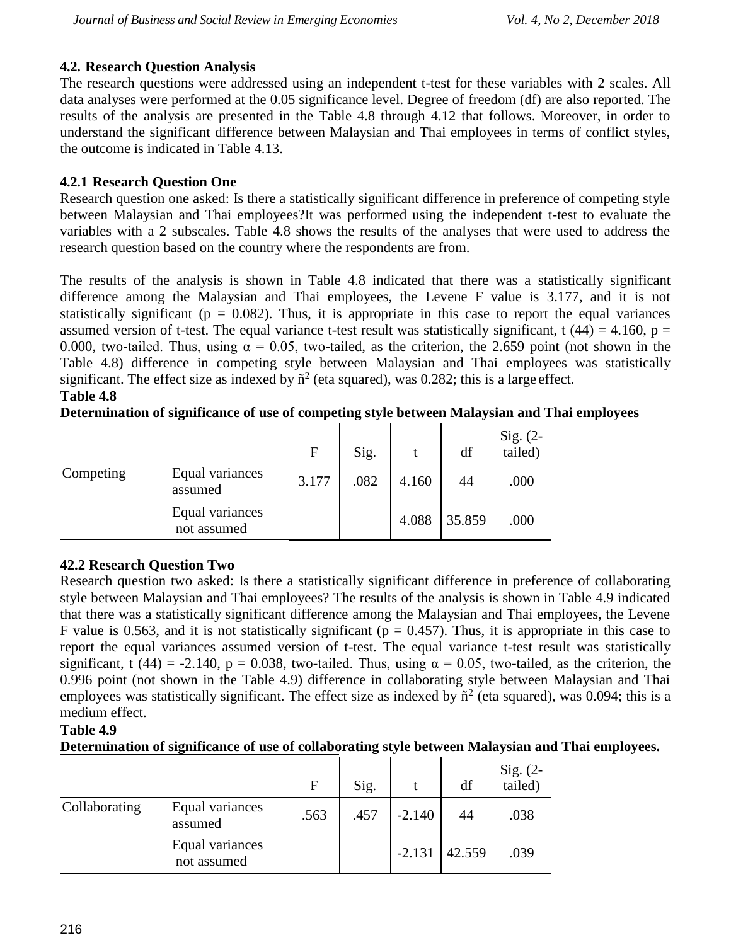## **4.2. Research Question Analysis**

The research questions were addressed using an independent t-test for these variables with 2 scales. All data analyses were performed at the 0.05 significance level. Degree of freedom (df) are also reported. The results of the analysis are presented in the Table 4.8 through 4.12 that follows. Moreover, in order to understand the significant difference between Malaysian and Thai employees in terms of conflict styles, the outcome is indicated in Table 4.13.

## **4.2.1 Research Question One**

Research question one asked: Is there a statistically significant difference in preference of competing style between Malaysian and Thai employees?It was performed using the independent t-test to evaluate the variables with a 2 subscales. Table 4.8 shows the results of the analyses that were used to address the research question based on the country where the respondents are from.

The results of the analysis is shown in Table 4.8 indicated that there was a statistically significant difference among the Malaysian and Thai employees, the Levene F value is 3.177, and it is not statistically significant ( $p = 0.082$ ). Thus, it is appropriate in this case to report the equal variances assumed version of t-test. The equal variance t-test result was statistically significant, t (44) = 4.160, p = 0.000, two-tailed. Thus, using  $\alpha = 0.05$ , two-tailed, as the criterion, the 2.659 point (not shown in the Table 4.8) difference in competing style between Malaysian and Thai employees was statistically significant. The effect size as indexed by  $\tilde{n}^2$  (eta squared), was 0.282; this is a large effect. **Table 4.8**

## **Determination of significance of use of competing style between Malaysian and Thai employees**

|           |                                | $\mathbf{F}$ | Sig. |       | df     | Sig. (2-<br>tailed) |
|-----------|--------------------------------|--------------|------|-------|--------|---------------------|
| Competing | Equal variances<br>assumed     | 3.177        | .082 | 4.160 | 44     | .000                |
|           | Equal variances<br>not assumed |              |      | 4.088 | 35.859 | .000                |

## **42.2 Research Question Two**

Research question two asked: Is there a statistically significant difference in preference of collaborating style between Malaysian and Thai employees? The results of the analysis is shown in Table 4.9 indicated that there was a statistically significant difference among the Malaysian and Thai employees, the Levene F value is 0.563, and it is not statistically significant ( $p = 0.457$ ). Thus, it is appropriate in this case to report the equal variances assumed version of t-test. The equal variance t-test result was statistically significant, t (44) = -2.140, p = 0.038, two-tailed. Thus, using  $\alpha = 0.05$ , two-tailed, as the criterion, the 0.996 point (not shown in the Table 4.9) difference in collaborating style between Malaysian and Thai employees was statistically significant. The effect size as indexed by  $\tilde{n}^2$  (eta squared), was 0.094; this is a medium effect.

# **Table 4.9**

## **Determination of significance of use of collaborating style between Malaysian and Thai employees.**

|               |                                | $\mathbf{F}$ | Sig. |          | df     | Sig. (2-<br>tailed) |
|---------------|--------------------------------|--------------|------|----------|--------|---------------------|
| Collaborating | Equal variances<br>assumed     | .563         | .457 | $-2.140$ | 44     | .038                |
|               | Equal variances<br>not assumed |              |      | $-2.131$ | 42.559 | .039                |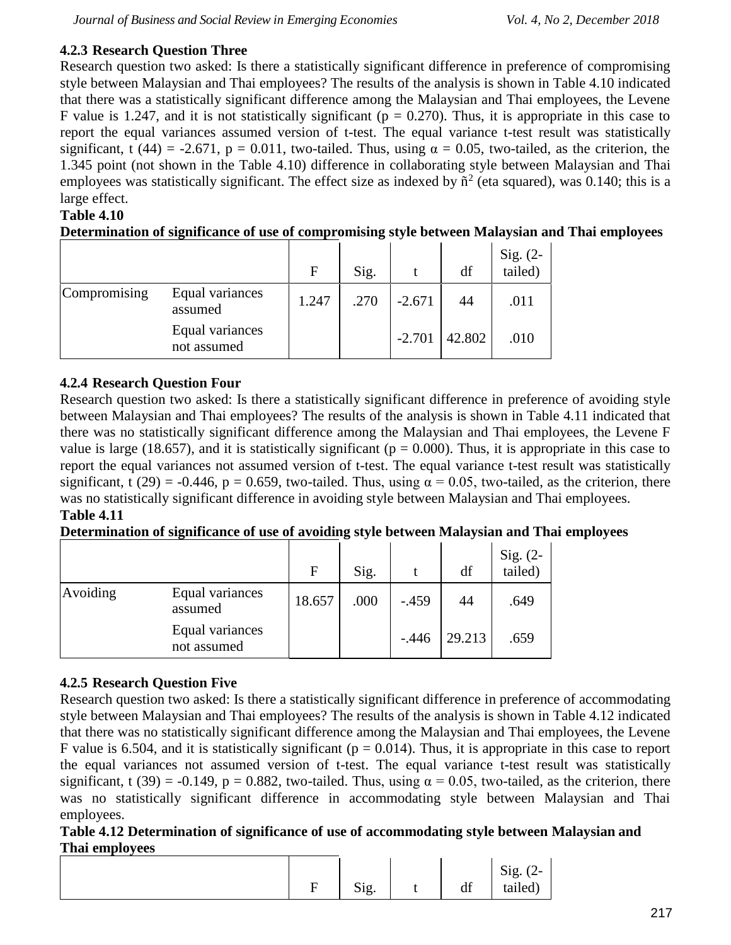## **4.2.3 Research Question Three**

Research question two asked: Is there a statistically significant difference in preference of compromising style between Malaysian and Thai employees? The results of the analysis is shown in Table 4.10 indicated that there was a statistically significant difference among the Malaysian and Thai employees, the Levene F value is 1.247, and it is not statistically significant ( $p = 0.270$ ). Thus, it is appropriate in this case to report the equal variances assumed version of t-test. The equal variance t-test result was statistically significant, t (44) = -2.671, p = 0.011, two-tailed. Thus, using  $\alpha = 0.05$ , two-tailed, as the criterion, the 1.345 point (not shown in the Table 4.10) difference in collaborating style between Malaysian and Thai employees was statistically significant. The effect size as indexed by  $\tilde{n}^2$  (eta squared), was 0.140; this is a large effect.

## **Table 4.10**

|  |  | Determination of significance of use of compromising style between Malaysian and Thai employees |
|--|--|-------------------------------------------------------------------------------------------------|
|  |  |                                                                                                 |
|  |  |                                                                                                 |
|  |  |                                                                                                 |

|              |                                | $\mathbf{F}$ | Sig. |          | df     | Sig. (2-<br>tailed) |
|--------------|--------------------------------|--------------|------|----------|--------|---------------------|
| Compromising | Equal variances<br>assumed     | 1.247        | .270 | $-2.671$ | 44     | .011                |
|              | Equal variances<br>not assumed |              |      | $-2.701$ | 42.802 | .010                |

## **4.2.4 Research Question Four**

Research question two asked: Is there a statistically significant difference in preference of avoiding style between Malaysian and Thai employees? The results of the analysis is shown in Table 4.11 indicated that there was no statistically significant difference among the Malaysian and Thai employees, the Levene F value is large (18.657), and it is statistically significant ( $p = 0.000$ ). Thus, it is appropriate in this case to report the equal variances not assumed version of t-test. The equal variance t-test result was statistically significant, t (29) = -0.446, p = 0.659, two-tailed. Thus, using  $\alpha$  = 0.05, two-tailed, as the criterion, there was no statistically significant difference in avoiding style between Malaysian and Thai employees. **Table 4.11**

## **Determination of significance of use of avoiding style between Malaysian and Thai employees**

|          |                                | F      | Sig. |         | df     | Sig. (2-<br>tailed) |
|----------|--------------------------------|--------|------|---------|--------|---------------------|
| Avoiding | Equal variances<br>assumed     | 18.657 | .000 | $-.459$ | 44     | .649                |
|          | Equal variances<br>not assumed |        |      | $-.446$ | 29.213 | .659                |

## **4.2.5 Research Question Five**

Research question two asked: Is there a statistically significant difference in preference of accommodating style between Malaysian and Thai employees? The results of the analysis is shown in Table 4.12 indicated that there was no statistically significant difference among the Malaysian and Thai employees, the Levene F value is 6.504, and it is statistically significant ( $p = 0.014$ ). Thus, it is appropriate in this case to report the equal variances not assumed version of t-test. The equal variance t-test result was statistically significant, t (39) = -0.149, p = 0.882, two-tailed. Thus, using  $\alpha$  = 0.05, two-tailed, as the criterion, there was no statistically significant difference in accommodating style between Malaysian and Thai employees.

## **Table 4.12 Determination of significance of use of accommodating style between Malaysian and Thai employees**

| Ē<br>н | Sig. | df | Sig. $(2 -$<br>$\prime$ $-$<br>$\cdot$<br>tailed) |  |
|--------|------|----|---------------------------------------------------|--|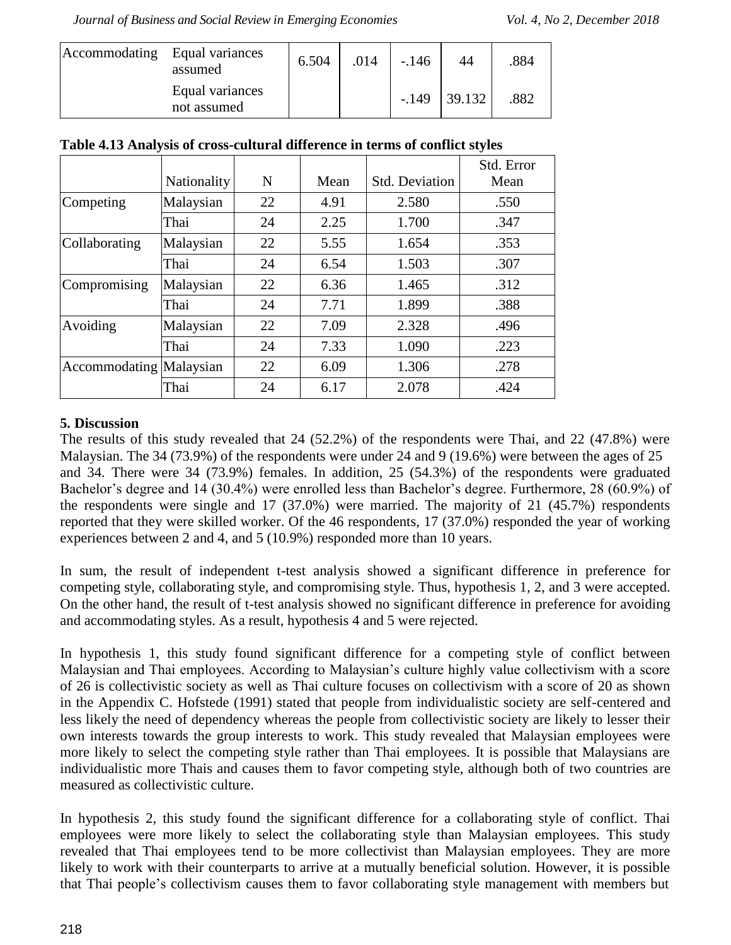| Accommodating Equal variances | assumed                        | 6.504 | .014 | $-.146$ | 44            | 884  |
|-------------------------------|--------------------------------|-------|------|---------|---------------|------|
|                               | Equal variances<br>not assumed |       |      |         | $-149$ 39.132 | .882 |

|                         |             |    |      |                       | Std. Error |
|-------------------------|-------------|----|------|-----------------------|------------|
|                         | Nationality | N  | Mean | <b>Std. Deviation</b> | Mean       |
| Competing               | Malaysian   | 22 | 4.91 | 2.580                 | .550       |
|                         | Thai        | 24 | 2.25 | 1.700                 | .347       |
| Collaborating           | Malaysian   | 22 | 5.55 | 1.654                 | .353       |
|                         | Thai        | 24 | 6.54 | 1.503                 | .307       |
| Compromising            | Malaysian   | 22 | 6.36 | 1.465                 | .312       |
|                         | Thai        | 24 | 7.71 | 1.899                 | .388       |
| Avoiding                | Malaysian   | 22 | 7.09 | 2.328                 | .496       |
|                         | Thai        | 24 | 7.33 | 1.090                 | .223       |
| Accommodating Malaysian |             | 22 | 6.09 | 1.306                 | .278       |
|                         | Thai        | 24 | 6.17 | 2.078                 | .424       |

## **5. Discussion**

The results of this study revealed that 24 (52.2%) of the respondents were Thai, and 22 (47.8%) were Malaysian. The 34 (73.9%) of the respondents were under 24 and 9 (19.6%) were between the ages of 25 and 34. There were 34 (73.9%) females. In addition, 25 (54.3%) of the respondents were graduated Bachelor's degree and 14 (30.4%) were enrolled less than Bachelor's degree. Furthermore, 28 (60.9%) of the respondents were single and 17 (37.0%) were married. The majority of 21 (45.7%) respondents reported that they were skilled worker. Of the 46 respondents, 17 (37.0%) responded the year of working experiences between 2 and 4, and 5 (10.9%) responded more than 10 years.

In sum, the result of independent t-test analysis showed a significant difference in preference for competing style, collaborating style, and compromising style. Thus, hypothesis 1, 2, and 3 were accepted. On the other hand, the result of t-test analysis showed no significant difference in preference for avoiding and accommodating styles. As a result, hypothesis 4 and 5 were rejected.

In hypothesis 1, this study found significant difference for a competing style of conflict between Malaysian and Thai employees. According to Malaysian's culture highly value collectivism with a score of 26 is collectivistic society as well as Thai culture focuses on collectivism with a score of 20 as shown in the Appendix C. Hofstede (1991) stated that people from individualistic society are self-centered and less likely the need of dependency whereas the people from collectivistic society are likely to lesser their own interests towards the group interests to work. This study revealed that Malaysian employees were more likely to select the competing style rather than Thai employees. It is possible that Malaysians are individualistic more Thais and causes them to favor competing style, although both of two countries are measured as collectivistic culture.

In hypothesis 2, this study found the significant difference for a collaborating style of conflict. Thai employees were more likely to select the collaborating style than Malaysian employees. This study revealed that Thai employees tend to be more collectivist than Malaysian employees. They are more likely to work with their counterparts to arrive at a mutually beneficial solution. However, it is possible that Thai people's collectivism causes them to favor collaborating style management with members but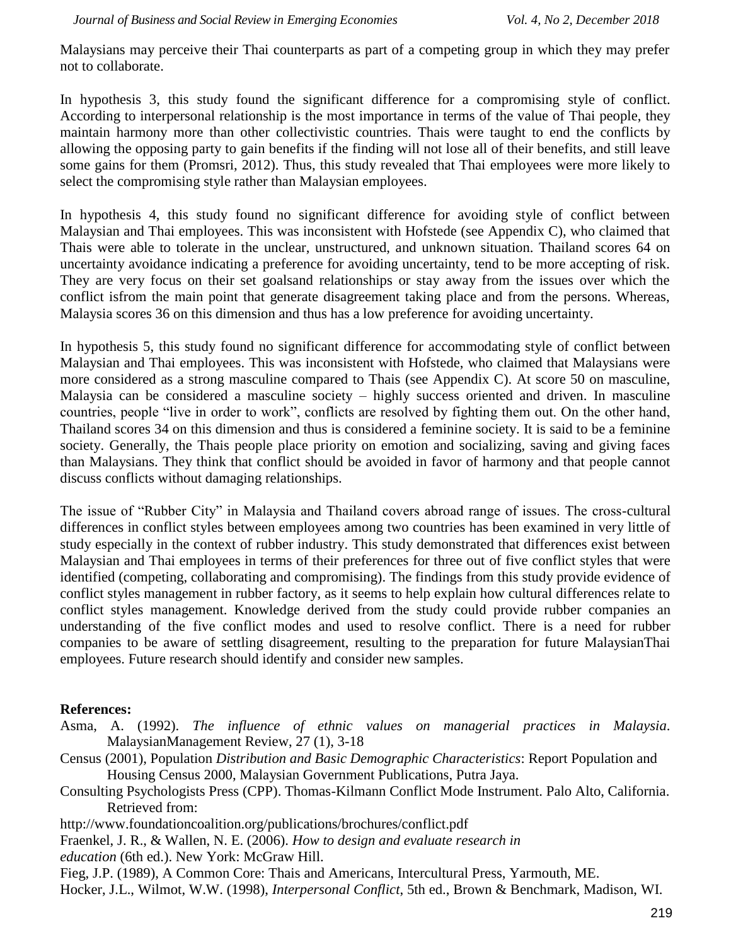Malaysians may perceive their Thai counterparts as part of a competing group in which they may prefer not to collaborate.

In hypothesis 3, this study found the significant difference for a compromising style of conflict. According to interpersonal relationship is the most importance in terms of the value of Thai people, they maintain harmony more than other collectivistic countries. Thais were taught to end the conflicts by allowing the opposing party to gain benefits if the finding will not lose all of their benefits, and still leave some gains for them (Promsri, 2012). Thus, this study revealed that Thai employees were more likely to select the compromising style rather than Malaysian employees.

In hypothesis 4, this study found no significant difference for avoiding style of conflict between Malaysian and Thai employees. This was inconsistent with Hofstede (see Appendix C), who claimed that Thais were able to tolerate in the unclear, unstructured, and unknown situation. Thailand scores 64 on uncertainty avoidance indicating a preference for avoiding uncertainty, tend to be more accepting of risk. They are very focus on their set goalsand relationships or stay away from the issues over which the conflict isfrom the main point that generate disagreement taking place and from the persons. Whereas, Malaysia scores 36 on this dimension and thus has a low preference for avoiding uncertainty.

In hypothesis 5, this study found no significant difference for accommodating style of conflict between Malaysian and Thai employees. This was inconsistent with Hofstede, who claimed that Malaysians were more considered as a strong masculine compared to Thais (see Appendix C). At score 50 on masculine, Malaysia can be considered a masculine society – highly success oriented and driven. In masculine countries, people "live in order to work", conflicts are resolved by fighting them out. On the other hand, Thailand scores 34 on this dimension and thus is considered a feminine society. It is said to be a feminine society. Generally, the Thais people place priority on emotion and socializing, saving and giving faces than Malaysians. They think that conflict should be avoided in favor of harmony and that people cannot discuss conflicts without damaging relationships.

The issue of "Rubber City" in Malaysia and Thailand covers abroad range of issues. The cross-cultural differences in conflict styles between employees among two countries has been examined in very little of study especially in the context of rubber industry. This study demonstrated that differences exist between Malaysian and Thai employees in terms of their preferences for three out of five conflict styles that were identified (competing, collaborating and compromising). The findings from this study provide evidence of conflict styles management in rubber factory, as it seems to help explain how cultural differences relate to conflict styles management. Knowledge derived from the study could provide rubber companies an understanding of the five conflict modes and used to resolve conflict. There is a need for rubber companies to be aware of settling disagreement, resulting to the preparation for future MalaysianThai employees. Future research should identify and consider new samples.

#### **References:**

- Asma, A. (1992). *The influence of ethnic values on managerial practices in Malaysia*. MalaysianManagement Review, 27 (1), 3-18
- Census (2001), Population *Distribution and Basic Demographic Characteristics*: Report Population and Housing Census 2000, Malaysian Government Publications, Putra Jaya.
- Consulting Psychologists Press (CPP). Thomas-Kilmann Conflict Mode Instrument. Palo Alto, California. Retrieved from:
- <http://www.foundationcoalition.org/publications/brochures/conflict.pdf>
- Fraenkel, J. R., & Wallen, N. E. (2006). *How to design and evaluate research in*
- *education* (6th ed.). New York: McGraw Hill.
- Fieg, J.P. (1989), A Common Core: Thais and Americans, Intercultural Press, Yarmouth, ME.
- Hocker, J.L., Wilmot, W.W. (1998), *Interpersonal Conflict*, 5th ed., Brown & Benchmark, Madison, WI.